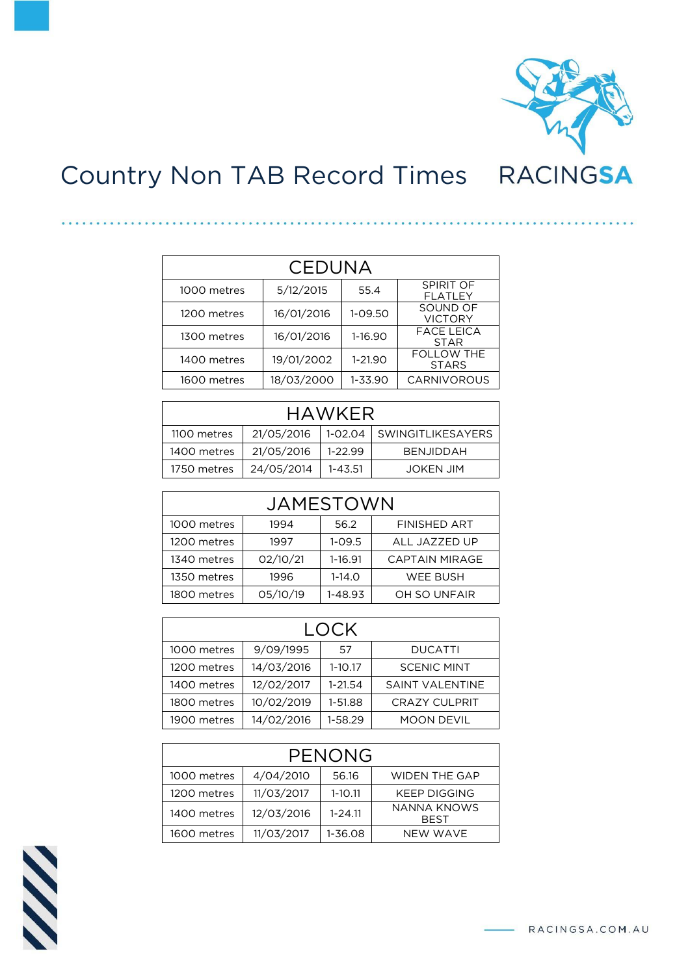

## Country Non TAB Record Times

| CEDUNA      |            |             |                                   |  |
|-------------|------------|-------------|-----------------------------------|--|
| 1000 metres | 5/12/2015  | 55.4        | SPIRIT OF<br><b>FLATLEY</b>       |  |
| 1200 metres | 16/01/2016 | 1-09.50     | SOUND OF<br><b>VICTORY</b>        |  |
| 1300 metres | 16/01/2016 | 1-16.90     | <b>FACE LEICA</b><br><b>STAR</b>  |  |
| 1400 metres | 19/01/2002 | $1 - 21.90$ | <b>FOLLOW THE</b><br><b>STARS</b> |  |
| 1600 metres | 18/03/2000 | 1-33.90     | <b>CARNIVOROUS</b>                |  |

. . . . . . . . . . . . . .

| <b>HAWKER</b>                                                |  |  |  |  |  |
|--------------------------------------------------------------|--|--|--|--|--|
| 21/05/2016<br>1-02.04   SWINGITLIKESAYERS<br>1100 metres     |  |  |  |  |  |
| 21/05/2016<br>$1 - 22.99$<br>1400 metres<br><b>BENJIDDAH</b> |  |  |  |  |  |
| 24/05/2014<br>1750 metres<br>$1 - 43.51$<br>JOKEN JIM        |  |  |  |  |  |

| JAMESTOWN                                          |          |            |                       |  |
|----------------------------------------------------|----------|------------|-----------------------|--|
| <b>FINISHED ART</b><br>1000 metres<br>56.2<br>1994 |          |            |                       |  |
| 1200 metres                                        | 1997     | $1 - 09.5$ | ALL JAZZED UP         |  |
| 1340 metres                                        | 02/10/21 | 1-16.91    | <b>CAPTAIN MIRAGE</b> |  |
| 1350 metres                                        | 1996     | $1 - 14.0$ | WEE BUSH              |  |
| 1800 metres                                        | 05/10/19 | 1-48.93    | OH SO UNFAIR          |  |

| LOCK                                              |            |             |                        |  |
|---------------------------------------------------|------------|-------------|------------------------|--|
| 9/09/1995<br>1000 metres<br>.57<br><b>DUCATTI</b> |            |             |                        |  |
| 1200 metres                                       | 14/03/2016 | $1 - 10.17$ | <b>SCENIC MINT</b>     |  |
| 1400 metres                                       | 12/02/2017 | $1 - 21.54$ | <b>SAINT VALENTINE</b> |  |
| 1800 metres                                       | 10/02/2019 | 1-51.88     | <b>CRAZY CULPRIT</b>   |  |
| 1900 metres                                       | 14/02/2016 | 1-58.29     | <b>MOON DEVIL</b>      |  |

| PENONG                                                                 |            |             |                     |  |
|------------------------------------------------------------------------|------------|-------------|---------------------|--|
| 4/04/2010<br><b>WIDEN THE GAP</b><br>1000 metres<br>56.16              |            |             |                     |  |
| 1200 metres                                                            | 11/03/2017 | $1 - 10.11$ | <b>KEEP DIGGING</b> |  |
| NANNA KNOWS<br>12/03/2016<br>$1 - 24.11$<br>1400 metres<br><b>BEST</b> |            |             |                     |  |
| 1600 metres                                                            | 11/03/2017 | 1-36.08     | NFW WAVF            |  |